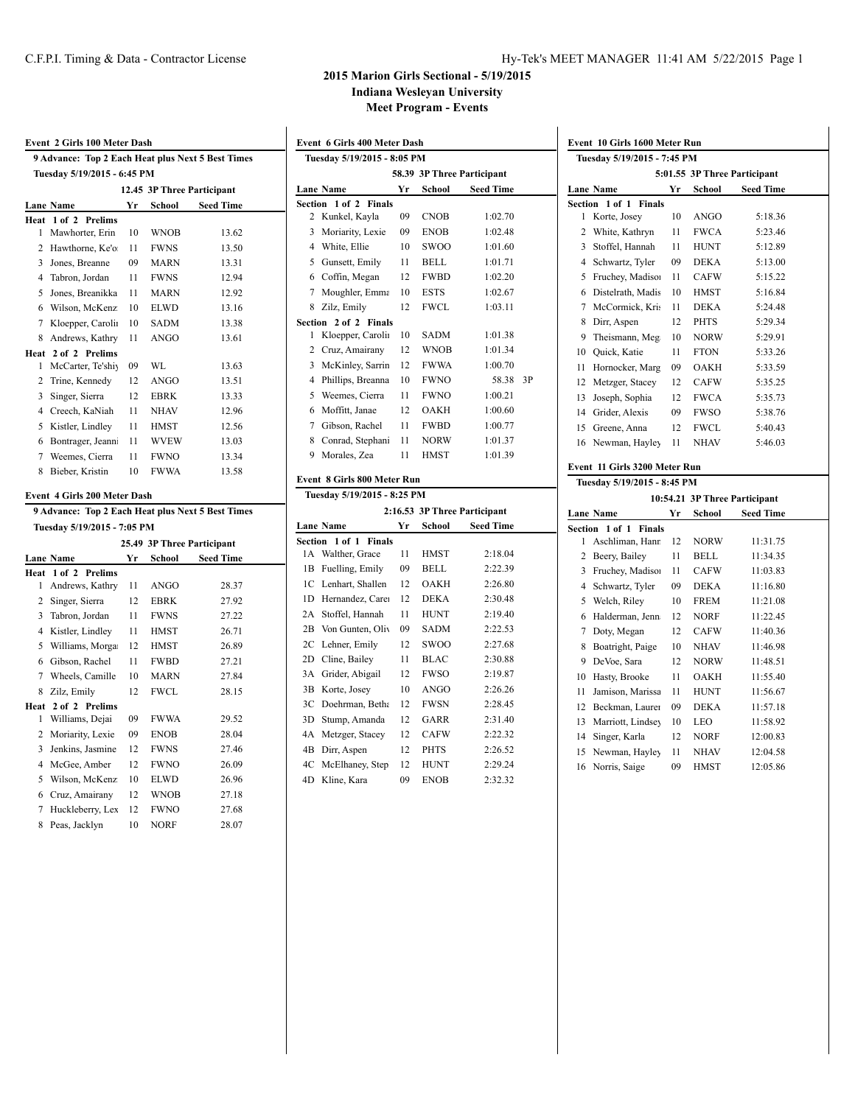# **2015 Marion Girls Sectional - 5/19/2015**

**Indiana Wesleyan University**

**Meet Program - Events**

**Event 6 Girls 400 Meter Dash**

|                | Event 2 Girls 100 Meter Dash                      |    |             |                            |
|----------------|---------------------------------------------------|----|-------------|----------------------------|
|                | 9 Advance: Top 2 Each Heat plus Next 5 Best Times |    |             |                            |
|                | Tuesday 5/19/2015 - 6:45 PM                       |    |             |                            |
|                |                                                   |    |             | 12.45 3P Three Participant |
|                | <b>Lane Name</b>                                  | Yr | School      | <b>Seed Time</b>           |
| Heat           | $1$ of $2$<br><b>Prelims</b>                      |    |             |                            |
| 1              | Mawhorter, Erin                                   | 10 | <b>WNOB</b> | 13.62                      |
| $\overline{c}$ | Hawthorne, Ke'o                                   | 11 | <b>FWNS</b> | 13.50                      |
| 3              | Jones, Breanne                                    | 09 | MARN        | 13.31                      |
| 4              | Tabron, Jordan                                    | 11 | <b>FWNS</b> | 12.94                      |
| 5              | Jones, Breanikka                                  | 11 | MARN        | 12.92                      |
| 6              | Wilson, McKenz                                    | 10 | <b>ELWD</b> | 13.16                      |
| 7              | Kloepper, Carolii                                 | 10 | <b>SADM</b> | 13.38                      |
| 8              | Andrews, Kathry                                   | 11 | <b>ANGO</b> | 13.61                      |
| 1              | Heat 2 of 2 Prelims<br>McCarter, Te'shiy          | 09 | WL          | 13.63                      |
| 2              | Trine, Kennedy                                    | 12 | <b>ANGO</b> | 13.51                      |
| 3              | Singer, Sierra                                    | 12 | <b>EBRK</b> | 13.33                      |
| 4              | Creech, KaNiah                                    | 11 | <b>NHAV</b> | 12.96                      |
| 5              | Kistler, Lindley                                  | 11 | HMST        | 12.56                      |
| 6              | Bontrager, Jeann                                  | 11 | <b>WVEW</b> | 13.03                      |
| $\tau$         | Weemes, Cierra                                    | 11 | <b>FWNO</b> | 13.34                      |
| 8              | Bieber, Kristin                                   | 10 | <b>FWWA</b> | 13.58                      |
|                | Event 4 Girls 200 Meter Dash                      |    |             |                            |
|                | 9 Advance: Top 2 Each Heat plus Next 5 Best Times |    |             |                            |
|                | Tuesday 5/19/2015 - 7:05 PM                       |    |             |                            |
|                |                                                   |    |             | 25.49 3P Three Participant |
|                | <b>Lane Name</b><br>1 of 2<br><b>Prelims</b>      | Yr | School      | <b>Seed Time</b>           |
| Heat<br>1      | Andrews, Kathry                                   | 11 | <b>ANGO</b> | 28.37                      |
| 2              | Singer, Sierra                                    | 12 | EBRK        | 27.92                      |
| 3              | Tabron, Jordan                                    | 11 | <b>FWNS</b> | 27.22                      |
| 4              | Kistler, Lindley                                  | 11 | <b>HMST</b> | 26.71                      |
| 5              | Williams, Morga                                   | 12 | <b>HMST</b> | 26.89                      |
| 6              | Gibson, Rachel                                    | 11 | <b>FWBD</b> | 27.21                      |
| 7              | Wheels, Camille                                   | 10 | MARN        | 27.84                      |
| 8              | Zilz, Emily                                       | 12 | <b>FWCL</b> | 28.15                      |
| Heat           | 2 of 2 Prelims                                    |    |             |                            |
| 1              | Williams, Dejai                                   | 09 | <b>FWWA</b> | 29.52                      |
| 2              | Moriarity, Lexie                                  | 09 | ENOB        | 28.04                      |
| 3              | Jenkins, Jasmine                                  | 12 | <b>FWNS</b> | 27.46                      |
| 4              | McGee, Amber                                      | 12 | <b>FWNO</b> | 26.09                      |
| 5              | Wilson, McKenz                                    | 10 | ELWD        | 26.96                      |
| 6              | Cruz, Amairany                                    | 12 | <b>WNOB</b> | 27.18                      |
| 7              |                                                   |    |             |                            |
|                | Huckleberry, Lex                                  | 12 | FWNO        | 27.68                      |

| Tuesday 5/19/2015 - 8:05 PM |                              |    |             |                            |    |  |  |  |  |  |
|-----------------------------|------------------------------|----|-------------|----------------------------|----|--|--|--|--|--|
|                             |                              |    |             | 58.39 3P Three Participant |    |  |  |  |  |  |
|                             | Lane Name                    | Yr | School      | <b>Seed Time</b>           |    |  |  |  |  |  |
|                             | Section 1 of 2 Finals        |    |             |                            |    |  |  |  |  |  |
| $\overline{2}$              | Kunkel, Kayla                | 09 | <b>CNOB</b> | 1:02.70                    |    |  |  |  |  |  |
| 3                           | Moriarity, Lexie             | 09 | <b>ENOB</b> | 1:02.48                    |    |  |  |  |  |  |
| 4                           | White, Ellie                 | 10 | <b>SWOO</b> | 1:01.60                    |    |  |  |  |  |  |
| 5                           | Gunsett, Emily               | 11 | BELL.       | 1:01.71                    |    |  |  |  |  |  |
| 6                           | Coffin, Megan                | 12 | <b>FWBD</b> | 1:02.20                    |    |  |  |  |  |  |
| 7                           | Moughler, Emma               | 10 | <b>ESTS</b> | 1:02.67                    |    |  |  |  |  |  |
| 8                           | Zilz, Emily                  | 12 | FWCL        | 1:03.11                    |    |  |  |  |  |  |
|                             | Section 2 of 2 Finals        |    |             |                            |    |  |  |  |  |  |
| 1                           | Kloepper, Carolin            | 10 | <b>SADM</b> | 1:01.38                    |    |  |  |  |  |  |
| $\overline{c}$              | Cruz, Amairany               | 12 | <b>WNOB</b> | 1:01.34                    |    |  |  |  |  |  |
| 3                           | McKinley, Sarrin             | 12 | <b>FWWA</b> | 1:00.70                    |    |  |  |  |  |  |
| 4                           | Phillips, Breanna            | 10 | <b>FWNO</b> | 58.38                      | 3P |  |  |  |  |  |
| 5                           | Weemes, Cierra               | 11 | <b>FWNO</b> | 1:00.21                    |    |  |  |  |  |  |
| 6                           | Moffitt, Janae               | 12 | OAKH        | 1:00.60                    |    |  |  |  |  |  |
| 7                           | Gibson, Rachel               | 11 | <b>FWBD</b> | 1:00.77                    |    |  |  |  |  |  |
| 8                           | Conrad, Stephani             | 11 | <b>NORW</b> | 1:01.37                    |    |  |  |  |  |  |
| 9                           | Morales, Zea                 | 11 | HMST        | 1:01.39                    |    |  |  |  |  |  |
|                             | Event 8 Girls 800 Meter Run  |    |             |                            |    |  |  |  |  |  |
|                             | Tuesday 5/19/2015 - 8:25 PM  |    |             |                            |    |  |  |  |  |  |
|                             | 2:16.53 3P Three Participant |    |             |                            |    |  |  |  |  |  |

|     |                       |    |             | 4,10,33   JE  I 111 cc I al ucipant |
|-----|-----------------------|----|-------------|-------------------------------------|
|     | Lane Name             | Yr | School      | <b>Seed Time</b>                    |
|     | Section 1 of 1 Finals |    |             |                                     |
|     | 1A Walther, Grace     | 11 | HMST        | 2:18.04                             |
| 1B  | Fuelling, Emily       | 09 | <b>BELL</b> | 2:22.39                             |
|     | 1C Lenhart, Shallen   | 12 | OAKH        | 2:26.80                             |
| 1D. | Hernandez, Carea      | 12 | <b>DEKA</b> | 2:30.48                             |
| 2A  | Stoffel, Hannah       | 11 | <b>HUNT</b> | 2:19.40                             |
| 2В  | Von Gunten, Oliv      | 09 | <b>SADM</b> | 2:22.53                             |
| 2C  | Lehner, Emily         | 12 | SWOO        | 2:27.68                             |
| 2D  | Cline, Bailey         | 11 | <b>BLAC</b> | 2:30.88                             |
| 3A  | Grider, Abigail       | 12 | <b>FWSO</b> | 2:19.87                             |
| 3B  | Korte, Josev          | 10 | <b>ANGO</b> | 2:26.26                             |
| 3С  | Doehrman, Betha       | 12 | FWSN        | 2:28.45                             |
| 3D  | Stump, Amanda         | 12 | GARR        | 2:31.40                             |
| 4Α  | Metzger, Stacey       | 12 | <b>CAFW</b> | 2:22.32                             |
| 4B  | Dirr, Aspen           | 12 | <b>PHTS</b> | 2:26.52                             |
| 4C  | McElhaney, Step       | 12 | <b>HUNT</b> | 2:29.24                             |
| 4D  | Kline, Kara           | 09 | <b>ENOB</b> | 2:32.32                             |

| Event 10 Girls 1600 Meter Run<br>Tuesday 5/19/2015 - 7:45 PM |                                                              |    |             |                  |  |  |  |  |
|--------------------------------------------------------------|--------------------------------------------------------------|----|-------------|------------------|--|--|--|--|
| 5:01.55 3P Three Participant                                 |                                                              |    |             |                  |  |  |  |  |
|                                                              | <b>Lane Name</b>                                             | Yr | School      | <b>Seed Time</b> |  |  |  |  |
| Section 1 of 1 Finals                                        |                                                              |    |             |                  |  |  |  |  |
| 1                                                            | Korte, Josev                                                 | 10 | ANGO        | 5:18.36          |  |  |  |  |
| 2                                                            | White, Kathryn                                               | 11 | <b>FWCA</b> | 5:23.46          |  |  |  |  |
| 3                                                            | Stoffel, Hannah                                              | 11 | <b>HUNT</b> | 5:12.89          |  |  |  |  |
| 4                                                            | Schwartz, Tyler                                              | 09 | <b>DEKA</b> | 5:13.00          |  |  |  |  |
| 5                                                            | Fruchey, Madison                                             | 11 | CAFW        | 5:15.22          |  |  |  |  |
| 6                                                            | Distelrath, Madis                                            | 10 | <b>HMST</b> | 5:16.84          |  |  |  |  |
| 7                                                            | McCormick, Kris                                              | 11 | DEKA        | 5:24.48          |  |  |  |  |
| 8                                                            | Dirr, Aspen                                                  | 12 | <b>PHTS</b> | 5:29.34          |  |  |  |  |
| 9                                                            | Theismann, Meg                                               | 10 | <b>NORW</b> | 5:29.91          |  |  |  |  |
| 10                                                           | Quick, Katie                                                 | 11 | <b>FTON</b> | 5:33.26          |  |  |  |  |
| 11                                                           | Hornocker, Marg                                              | 09 | OAKH        | 5:33.59          |  |  |  |  |
| 12                                                           | Metzger, Stacey                                              | 12 | <b>CAFW</b> | 5:35.25          |  |  |  |  |
| 13                                                           | Joseph, Sophia                                               | 12 | <b>FWCA</b> | 5:35.73          |  |  |  |  |
| 14                                                           | Grider, Alexis                                               | 09 | <b>FWSO</b> | 5:38.76          |  |  |  |  |
| 15                                                           | Greene, Anna                                                 | 12 | FWCL        | 5:40.43          |  |  |  |  |
| 16                                                           | Newman, Hayley                                               | 11 | <b>NHAV</b> | 5:46.03          |  |  |  |  |
|                                                              | Event 11 Girls 3200 Meter Run<br>Tuesday 5/19/2015 - 8:45 PM |    |             |                  |  |  |  |  |

|    | 10:54.21 3P Three Participant |    |             |                  |  |  |  |  |
|----|-------------------------------|----|-------------|------------------|--|--|--|--|
|    | <b>Lane Name</b>              | Yr | School      | <b>Seed Time</b> |  |  |  |  |
|    | Section 1 of 1 Finals         |    |             |                  |  |  |  |  |
| 1  | Aschliman, Hanr               | 12 | <b>NORW</b> | 11:31.75         |  |  |  |  |
| 2  | Beery, Bailey                 | 11 | BELL        | 11:34.35         |  |  |  |  |
| 3  | Fruchey, Madison              | 11 | CAFW        | 11:03.83         |  |  |  |  |
| 4  | Schwartz, Tyler               | 09 | DEKA        | 11:16.80         |  |  |  |  |
| 5  | Welch, Riley                  | 10 | FREM        | 11:21.08         |  |  |  |  |
| 6  | Halderman, Jenn               | 12 | NORF        | 11:22.45         |  |  |  |  |
| 7  | Doty, Megan                   | 12 | <b>CAFW</b> | 11:40.36         |  |  |  |  |
| 8  | Boatright, Paige              | 10 | NHAV        | 11:46.98         |  |  |  |  |
| 9  | DeVoe, Sara                   | 12 | <b>NORW</b> | 11:48.51         |  |  |  |  |
| 10 | Hasty, Brooke                 | 11 | <b>OAKH</b> | 11:55.40         |  |  |  |  |
| 11 | Jamison, Marissa              | 11 | <b>HUNT</b> | 11:56.67         |  |  |  |  |
| 12 | Beckman, Laurer               | 09 | DEKA        | 11:57.18         |  |  |  |  |
| 13 | Marriott, Lindsey             | 10 | LEO         | 11:58.92         |  |  |  |  |
| 14 | Singer, Karla                 | 12 | NORF        | 12:00.83         |  |  |  |  |
| 15 | Newman, Hayley                | 11 | <b>NHAV</b> | 12:04.58         |  |  |  |  |
|    | 16 Norris, Saige              | 09 | <b>HMST</b> | 12:05.86         |  |  |  |  |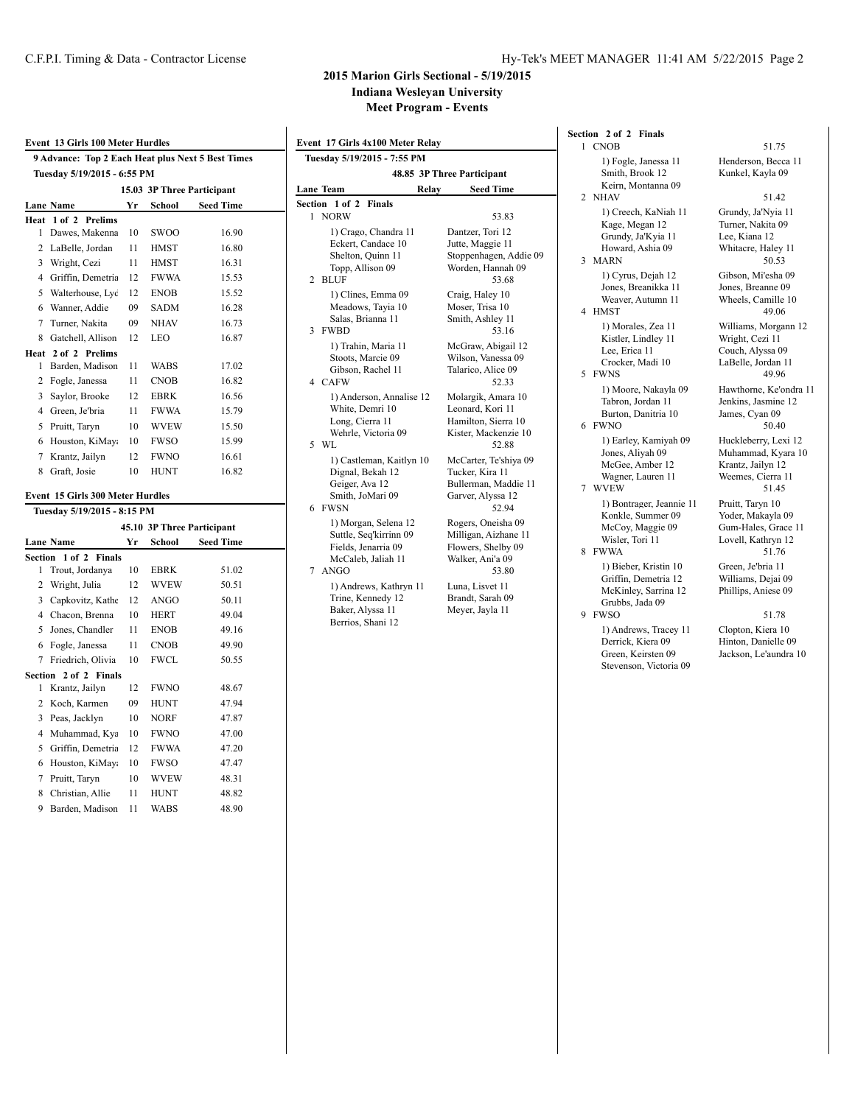## **2015 Marion Girls Sectional - 5/19/2015**

**Indiana Wesleyan University**

**Meet Program - Events**

|                | Event 13 Girls 100 Meter Hurdles                  |    |             |                            |
|----------------|---------------------------------------------------|----|-------------|----------------------------|
|                | 9 Advance: Top 2 Each Heat plus Next 5 Best Times |    |             |                            |
|                | Tuesday 5/19/2015 - 6:55 PM                       |    |             |                            |
|                |                                                   |    |             | 15.03 3P Three Participant |
|                | <b>Lane Name</b>                                  | Yr | School      | <b>Seed Time</b>           |
| Heat           | $1$ of $2$<br><b>Prelims</b>                      |    |             |                            |
| 1              | Dawes, Makenna                                    | 10 | SWOO        | 16.90                      |
| 2              | LaBelle, Jordan                                   | 11 | <b>HMST</b> | 16.80                      |
| 3              | Wright, Cezi                                      | 11 | <b>HMST</b> | 16.31                      |
| 4              | Griffin, Demetria                                 | 12 | <b>FWWA</b> | 15.53                      |
| 5              | Walterhouse, Lyc                                  | 12 | <b>ENOB</b> | 15.52                      |
| 6              | Wanner, Addie                                     | 09 | <b>SADM</b> | 16.28                      |
| 7              | Turner, Nakita                                    | 09 | NHAV        | 16.73                      |
| 8              | Gatchell, Allison                                 | 12 | LEO         | 16.87                      |
|                | Heat 2 of 2 Prelims                               |    |             |                            |
| 1              | Barden, Madison                                   | 11 | WABS        | 17.02                      |
| 2              | Fogle, Janessa                                    | 11 | <b>CNOB</b> | 16.82                      |
| 3              | Saylor, Brooke                                    | 12 | EBRK        | 16.56                      |
| $\overline{4}$ | Green, Je'bria                                    | 11 | <b>FWWA</b> | 15.79                      |
| 5              | Pruitt, Taryn                                     | 10 | <b>WVEW</b> | 15.50                      |
| 6              | Houston, KiMay:                                   | 10 | <b>FWSO</b> | 15.99                      |
| 7              | Krantz, Jailyn                                    | 12 | <b>FWNO</b> | 16.61                      |
| 8              | Graft, Josie                                      | 10 | <b>HUNT</b> | 16.82                      |
|                | Event 15 Girls 300 Meter Hurdles                  |    |             |                            |
|                | Tuesday 5/19/2015 - 8:15 PM                       |    |             |                            |
|                |                                                   |    |             | 45.10 3P Three Participant |
|                | <b>Lane Name</b>                                  | Yr | School      | <b>Seed Time</b>           |
| Section        | $1$ of $2$<br><b>Finals</b>                       |    |             |                            |
| 1              | Trout, Jordanya                                   | 10 | <b>EBRK</b> | 51.02                      |
| 2              | Wright, Julia                                     | 12 | <b>WVEW</b> | 50.51                      |
|                | 3 Capkovitz, Kathe                                | 12 | <b>ANGO</b> | 50.11                      |
|                | 4 Chacon, Brenna                                  | 10 | <b>HERT</b> | 49.04                      |
| 5              | Jones, Chandler                                   | 11 | <b>ENOB</b> | 49.16                      |
| 6              | Fogle, Janessa                                    | 11 | <b>CNOB</b> | 49.90                      |
| $\overline{7}$ | Friedrich, Olivia                                 | 10 | <b>FWCL</b> | 50.55                      |
| Section        | 2 of 2 Finals                                     |    |             |                            |
| 1              | Krantz, Jailyn                                    | 12 | <b>FWNO</b> | 48.67                      |
| 2              | Koch, Karmen                                      | 09 | HUNT        | 47.94                      |
| 3              | Peas, Jacklyn                                     | 10 | <b>NORF</b> | 47.87                      |
| 4              | Muhammad, Kya                                     | 10 | FWNO        | 47.00                      |
| 5              | Griffin, Demetria                                 | 12 | <b>FWWA</b> | 47.20                      |
| 6              | Houston, KiMay:                                   | 10 | <b>FWSO</b> | 47.47                      |
| 7              | Pruitt, Taryn                                     | 10 | <b>WVEW</b> | 48.31                      |
| 8              | Christian, Allie                                  | 11 | HUNT        | 48.82                      |
| 9              | Barden, Madison                                   | 11 | <b>WABS</b> | 48.90                      |
|                |                                                   |    |             |                            |

|   | Event 17 Girls 4x100 Meter Relay                                                                      |       |                                                                                                |  |  |  |  |
|---|-------------------------------------------------------------------------------------------------------|-------|------------------------------------------------------------------------------------------------|--|--|--|--|
|   | Tuesday 5/19/2015 - 7:55 PM                                                                           |       |                                                                                                |  |  |  |  |
|   | 48.85 3P Three Participant                                                                            |       |                                                                                                |  |  |  |  |
|   | <b>Lane Team</b>                                                                                      | Relay | <b>Seed Time</b>                                                                               |  |  |  |  |
|   | Section 1 of 2<br><b>Finals</b>                                                                       |       |                                                                                                |  |  |  |  |
| 1 | <b>NORW</b>                                                                                           |       | 53.83                                                                                          |  |  |  |  |
| 2 | 1) Crago, Chandra 11<br>Eckert, Candace 10<br>Shelton, Quinn 11<br>Topp, Allison 09<br><b>BLUF</b>    |       | Dantzer, Tori 12<br>Jutte, Maggie 11<br>Stoppenhagen, Addie 09<br>Worden, Hannah 09<br>53.68   |  |  |  |  |
| 3 | 1) Clines, Emma 09<br>Meadows, Tayia 10<br>Salas, Brianna 11<br><b>FWBD</b>                           |       | Craig, Haley 10<br>Moser, Trisa 10<br>Smith, Ashley 11<br>53.16                                |  |  |  |  |
| 4 | 1) Trahin, Maria 11<br>Stoots, Marcie 09<br>Gibson, Rachel 11<br><b>CAFW</b>                          |       | McGraw, Abigail 12<br>Wilson, Vanessa 09<br>Talarico, Alice 09<br>52.33                        |  |  |  |  |
|   | 1) Anderson, Annalise 12<br>White, Demri 10<br>Long, Cierra 11<br>Wehrle, Victoria 09<br>5 WL         |       | Molargik, Amara 10<br>Leonard, Kori 11<br>Hamilton, Sierra 10<br>Kister, Mackenzie 10<br>52.88 |  |  |  |  |
| 6 | 1) Castleman, Kaitlyn 10<br>Dignal, Bekah 12<br>Geiger, Ava 12<br>Smith. JoMari 09<br><b>FWSN</b>     |       | McCarter, Te'shiya 09<br>Tucker, Kira 11<br>Bullerman, Maddie 11<br>Garver, Alyssa 12<br>52.94 |  |  |  |  |
|   | 1) Morgan, Selena 12<br>Suttle, Seq'kirrinn 09<br>Fields, Jenarria 09<br>McCaleb, Jaliah 11<br>7 ANGO |       | Rogers, Oneisha 09<br>Milligan, Aizhane 11<br>Flowers, Shelby 09<br>Walker, Ani'a 09<br>53.80  |  |  |  |  |
|   | 1) Andrews, Kathryn 11<br>Trine, Kennedy 12<br>Baker, Alyssa 11<br>Berrios, Shani 12                  |       | Luna, Lisvet 11<br>Brandt, Sarah 09<br>Meyer, Jayla 11                                         |  |  |  |  |

## **Section 2 of 2 Finals** 1 CNOB 51.75 1) Fogle, Janessa 11 Henderson, Becca 11<br>Smith, Brook 12 Kunkel, Kayla 09 Keirn, Montanna 09 2 NHAV 51.42

Grundy, Ja'Kyia 11 Howard, Ashia 09 Whitacre, Haley 11<br>
1ARN 50.53 3 MARN 1) Cyrus, Dejah 12 Gibson, Mi'esha 09<br>Jones, Breanikka 11 Jones, Breanne 09 Jones, Breanikka 11 Jones, Breanne 09<br>Weaver, Autumn 11 Wheels, Camille 10 Weaver, Autumn 11 Wheels, Camille 1<br>MST 49.06 4 HMST

Kistler, Lindley 11<br>Lee, Erica 11 Lee, Erica 11 Couch, Alyssa 09<br>Crocker, Madi 10 LaBelle, Jordan 1 5 FWNS 49.96

Burton, Danitria 10 6 FWNO 50.40 1) Earley, Kamiyah 09 Huckleberry, Lexi 12<br>Jones, Aliyah 09 Muhammad, Kyara 10 McGee, Amber 12<br>Wagner, Lauren 11 7 WVEW 51.45

Konkle, Summer 09 Yoder, Makayla 09<br>McCoy, Maggie 09 Gum-Hales, Grace 11 McCoy, Maggie 09 Wisler, Tori 11 Lovell, Kathryn 12 8 FWWA 51.76

1) Bieber, Kristin 10 Green, Je'bria 11<br>Griffin, Demetria 12 Williams, Dejai 09 Griffin, Demetria 12 Williams, Dejai 09<br>McKinley, Sarrina 12 Phillips, Aniese 09 McKinley, Sarrina 12 Grubbs, Jada 09

9 FWSO 51.78 1) Andrews, Tracey 11 Clopton, Kiera 10 Derrick, Kiera 09 Hinton, Danielle 09<br>Green, Keirsten 09 Jackson, Le'aundra Stevenson, Victoria 09

Kunkel, Kayla 09

1) Creech, KaNiah 11 Grundy, Ja'Nyia 11<br>Kage, Megan 12 Turner, Nakita 09 Turner, Nakita 09<br>Lee, Kiana 12 1) Morales, Zea 11 Williams, Morgann 12<br>Kistler, Lindley 11 Wright, Cezi 11 LaBelle, Jordan 11 1) Moore, Nakayla 09 Hawthorne, Ke'ondra 11 Jenkins, Jasmine 12<br>James, Cyan 09 Muhammad, Kyara 10<br>Krantz, Jailyn 12 Weemes, Cierra 11 1) Bontrager, Jeannie 11 Pruitt, Taryn 10<br>Konkle, Summer 09 Yoder, Makayla 09

Jackson, Le'aundra 10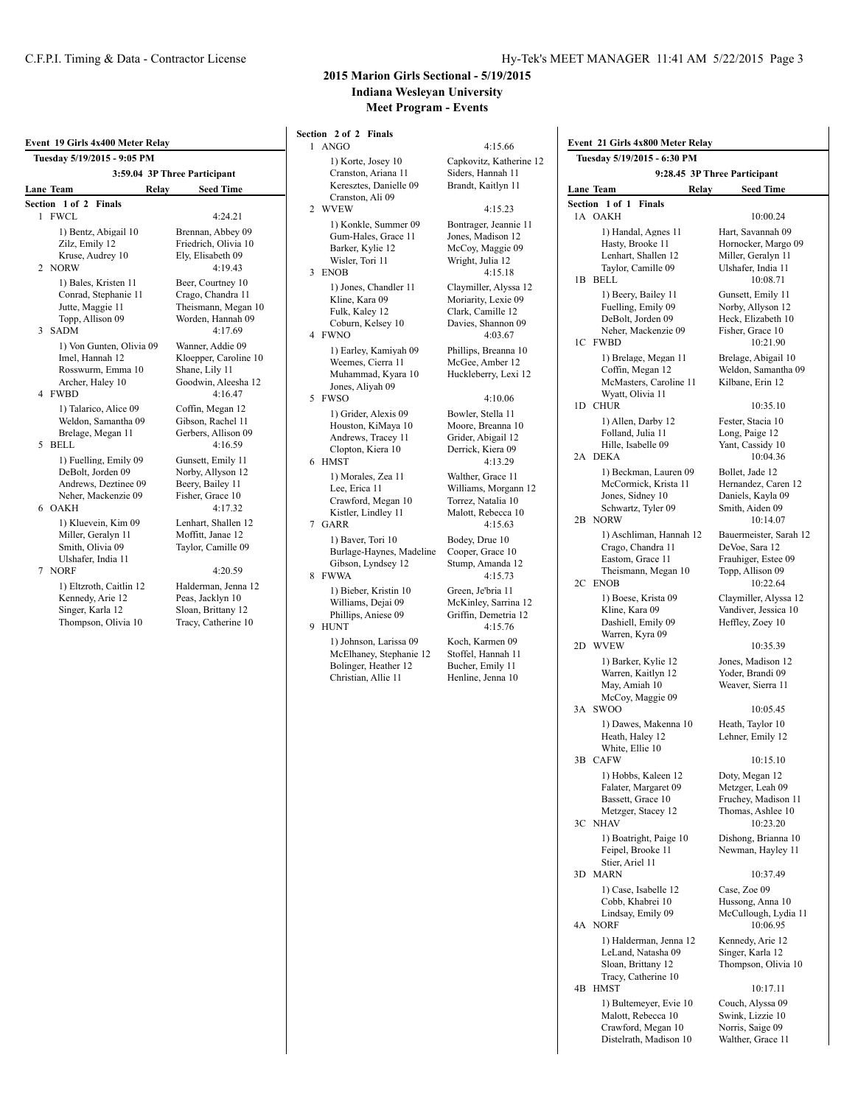|                | Event 19 Girls 4x400 Meter Relay<br>Tuesday 5/19/2015 - 9:05 PM                                          |                                                                                               |  |  |  |  |  |
|----------------|----------------------------------------------------------------------------------------------------------|-----------------------------------------------------------------------------------------------|--|--|--|--|--|
|                | 3:59.04 3P Three Participant                                                                             |                                                                                               |  |  |  |  |  |
|                | <b>Lane Team</b><br>Relav                                                                                | <b>Seed Time</b>                                                                              |  |  |  |  |  |
|                | Section 1 of 2<br><b>Finals</b>                                                                          |                                                                                               |  |  |  |  |  |
|                | 1 FWCL                                                                                                   | 4:24.21                                                                                       |  |  |  |  |  |
| $\mathfrak{D}$ | 1) Bentz, Abigail 10<br>Zilz, Emily 12<br>Kruse, Audrey 10<br><b>NORW</b>                                | Brennan, Abbey 09<br>Friedrich, Olivia 10<br>Ely, Elisabeth 09<br>4:19.43                     |  |  |  |  |  |
| 3              | 1) Bales, Kristen 11<br>Conrad, Stephanie 11<br>Jutte, Maggie 11<br>Topp, Allison 09<br><b>SADM</b>      | Beer, Courtney 10<br>Crago, Chandra 11<br>Theismann, Megan 10<br>Worden, Hannah 09<br>4:17.69 |  |  |  |  |  |
|                | 1) Von Gunten, Olivia 09<br>Imel, Hannah 12<br>Rosswurm, Emma 10<br>Archer, Haley 10<br>4 FWBD           | Wanner, Addie 09<br>Kloepper, Caroline 10<br>Shane, Lily 11<br>Goodwin, Aleesha 12<br>4:16.47 |  |  |  |  |  |
| 5.             | 1) Talarico, Alice 09<br>Weldon, Samantha 09<br>Brelage, Megan 11<br><b>BELL</b>                         | Coffin, Megan 12<br>Gibson, Rachel 11<br>Gerbers, Allison 09<br>4:16.59                       |  |  |  |  |  |
| 6              | 1) Fuelling, Emily 09<br>DeBolt, Jorden 09<br>Andrews, Deztinee 09<br>Neher, Mackenzie 09<br><b>OAKH</b> | Gunsett, Emily 11<br>Norby, Allyson 12<br>Beery, Bailey 11<br>Fisher, Grace 10<br>4:17.32     |  |  |  |  |  |
| 7              | 1) Kluevein, Kim 09<br>Miller, Geralyn 11<br>Smith, Olivia 09<br>Ulshafer, India 11<br><b>NORF</b>       | Lenhart, Shallen 12<br>Moffitt, Janae 12<br>Taylor, Camille 09<br>4:20.59                     |  |  |  |  |  |
|                | 1) Eltzroth, Caitlin 12<br>Kennedy, Arie 12<br>Singer, Karla 12<br>Thompson, Olivia 10                   | Halderman, Jenna 12<br>Peas, Jacklyn 10<br>Sloan, Brittany 12<br>Tracy, Catherine 10          |  |  |  |  |  |

### **2015 Marion Girls Sectional - 5/19/2015 Indiana Wesleyan University Meet Program - Events**

Section 2 of  $1$  ANGO

2 WVEW

3 ENOB

4 FWNO  $1)$  Earl

5 FWSO

 $6$  HMST

7 GARR

8 FWWA

9 HUNT

| 2 of 2 Finals<br>NGO                                                                              | 4:15.66                                                                                                  | Event                     |
|---------------------------------------------------------------------------------------------------|----------------------------------------------------------------------------------------------------------|---------------------------|
| 1) Korte, Josey 10<br>Cranston, Ariana 11<br>Keresztes, Danielle 09                               | Capkovitz, Katherine 12<br>Siders, Hannah 11<br>Brandt, Kaitlyn 11                                       | Tues                      |
| Cranston, Ali 09                                                                                  |                                                                                                          | Lane 1<br>Section         |
| /VEW<br>1) Konkle, Summer 09<br>Gum-Hales, Grace 11<br>Barker, Kylie 12<br>Wisler, Tori 11<br>NOB | 4:15.23<br>Bontrager, Jeannie 11<br>Jones, Madison 12<br>McCoy, Maggie 09<br>Wright, Julia 12<br>4:15.18 | 1A (                      |
| 1) Jones, Chandler 11<br>Kline, Kara 09<br>Fulk, Kaley 12<br>Coburn, Kelsey 10<br>WNO             | Claymiller, Alyssa 12<br>Moriarity, Lexie 09<br>Clark, Camille 12<br>Davies, Shannon 09<br>4:03.67       | $1B$ I                    |
| 1) Earley, Kamiyah 09<br>Weemes, Cierra 11<br>Muhammad, Kyara 10<br>Jones, Aliyah 09<br>WSO       | Phillips, Breanna 10<br>McGee, Amber 12<br>Huckleberry, Lexi 12<br>4:10.06                               | 1C 1                      |
| 1) Grider, Alexis 09<br>Houston, KiMaya 10<br>Andrews, Tracey 11<br>Clopton, Kiera 10             | Bowler, Stella 11<br>Moore, Breanna 10<br>Grider, Abigail 12<br>Derrick, Kiera 09                        | 1D (                      |
| MST<br>1) Morales, Zea 11<br>Lee, Erica 11<br>Crawford, Megan 10<br>Kistler, Lindley 11           | 4:13.29<br>Walther, Grace 11<br>Williams, Morgann 12<br>Torrez, Natalia 10<br>Malott, Rebecca 10         | 2A I                      |
| ARR<br>1) Baver, Tori 10<br>Burlage-Haynes, Madeline<br>Gibson, Lyndsey 12<br>WWA                 | 4:15.63<br>Bodey, Drue 10<br>Cooper, Grace 10<br>Stump, Amanda 12<br>4:15.73                             | $2B$ 1<br>2C <sub>1</sub> |
| 1) Bieber, Kristin 10<br>Williams, Dejai 09<br>Phillips, Aniese 09<br>UNT                         | Green, Je'bria 11<br>McKinley, Sarrina 12<br>Griffin, Demetria 12<br>4:15.76                             |                           |
| 1) Johnson, Larissa 09<br>McElhaney, Stephanie 12<br>Bolinger, Heather 12<br>Christian, Allie 11  | Koch, Karmen 09<br>Stoffel, Hannah 11<br>Bucher, Emily 11<br>Henline, Jenna 10                           | 2D '                      |
|                                                                                                   |                                                                                                          | 3A S                      |
|                                                                                                   |                                                                                                          | 3B<br>(                   |
|                                                                                                   |                                                                                                          | 3C<br>-1                  |
|                                                                                                   |                                                                                                          | 3D I                      |
|                                                                                                   |                                                                                                          | 4A<br>-1                  |

**Event 21 Girls 4x800 Meter Relay Tuesday 5/19/2015 - 6:30 PM 9:28.45 3P Three Participant Lane Team Relay Seed Time Section 1 of 1 Finals**  $0AKH$  10:00.24 1) Handal, Agnes 11 Hart, Savannah 09<br>Hasty, Brooke 11 Hornocker, Margo Hasty, Brooke 11 Hornocker, Margo 09<br>
Lenhart Shallen 12 Miller Geralyn 11 Miller, Geralyn 11 Taylor, Camille 09 Ulshafer, India 11 **BELL** 10:08.71 1) Beery, Bailey 11 Gunsett, Emily 11<br>Fuelling, Emily 09 Norby, Allyson 12 Fuelling, Emily 09 DeBolt, Jorden 09 Heck, Elizabeth 10 Neher, Mackenzie 09 Fisher, Grace 10<br>FWBD 10:21.90  $10:21.90$ 1) Brelage, Megan 11 Brelage, Abigail 10<br>Coffin, Megan 12 Weldon, Samantha 0 Weldon, Samantha 09 McMasters, Caroline 11 Kilbane, Erin 12 Wyatt, Olivia 11 CHUR 10:35.10 1) Allen, Darby 12 Fester, Stacia 10 Folland, Julia 11 Long, Paige 12 Hille, Isabelle 09 Yant, Cassidy 10<br>DEKA 10:04.36 10:04.36 1) Beckman, Lauren 09 Bollet, Jade 12<br>McCormick, Krista 11 Hernandez, Caren 12 McCormick, Krista 11 Jones, Sidney 10 Daniels, Kayla 09<br>Schwartz, Tyler 09 Smith, Aiden 09 Schwartz, Tyler 09<br>NORW 10:14.07 1) Aschliman, Hannah 12 Bauermeister, Sarah 12<br>Crago, Chandra 11 DeVoe, Sara 12 Crago, Chandra 11 Eastom, Grace 11 Frauhiger, Estee 09<br>Theismann, Megan 10 Topp, Allison 09 Theismann, Megan 10<br>ENOB 10:22.64 1) Boese, Krista 09 Claymiller, Alyssa 12 Kline, Kara 09 Vandiver, Jessica 10<br>Dashiell, Emily 09 Heffley, Zoey 10 Dashiell, Emily 09 Warren, Kyra 09<br>WVEW  $10:35.39$ 1) Barker, Kylie 12 Jones, Madison 12 Warren, Kaitlyn 12 Yoder, Brandi 09<br>May, Amiah 10 Weaver, Sierra 11 Weaver, Sierra 11 McCoy, Maggie 09  $3000$  10:05.45 1) Dawes, Makenna 10 Heath, Taylor 10<br>Heath, Haley 12 Lehner, Emily 12 Lehner, Emily 12 White, Ellie 10<br>CAFW  $10:15.10$ 1) Hobbs, Kaleen 12 Doty, Megan 12 Falater, Margaret 09 Metzger, Leah 09<br>Bassett, Grace 10 Fruchey, Madison Fruchey, Madison 11 Metzger, Stacey 12 Thomas, Ashlee 10<br>NHAV 10:23.20  $10:23.20$ 1) Boatright, Paige 10 Dishong, Brianna 10<br>Feipel, Brooke 11 Newman, Hayley 11 Newman, Hayley 11 Stier, Ariel 11<br>MARN 10:37.49 1) Case, Isabelle 12 Case, Zoe 09 Cobb, Khabrei 10 Hussong, Anna 10 Lindsay, Emily 09 McCullough, Lydia 11 10:06.95 1) Halderman, Jenna 12 Kennedy, Arie 12 LeLand, Natasha 09 Singer, Karla 12<br>Sloan, Brittany 12 Thompson, Olivi

4B HMST 10:17.11 1) Bultemeyer, Evie 10 Couch, Alyssa 09 Malott, Rebecca 10 Swink, Lizzie 10<br>Crawford, Megan 10 Norris, Saige 09 Crawford, Megan 10 Norris, Saige 09<br>Distelrath, Madison 10 Walther, Grace 11

Thompson, Olivia 10

Tracy, Catherine 10

Distelrath, Madison 10